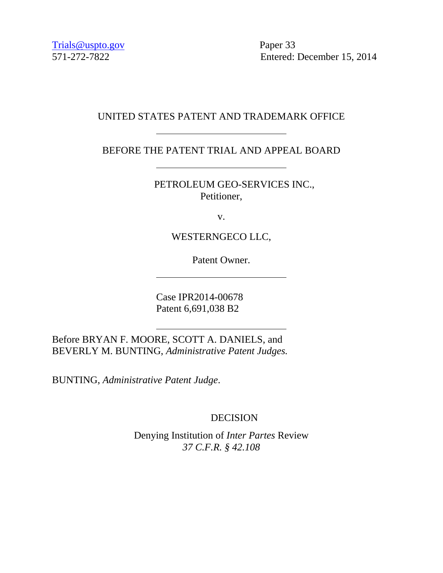571-272-7822 Entered: December 15, 2014

# UNITED STATES PATENT AND TRADEMARK OFFICE

BEFORE THE PATENT TRIAL AND APPEAL BOARD

PETROLEUM GEO-SERVICES INC., Petitioner,

v.

WESTERNGECO LLC,

Patent Owner.

Case IPR2014-00678 Patent 6,691,038 B2

Before BRYAN F. MOORE, SCOTT A. DANIELS, and BEVERLY M. BUNTING, *Administrative Patent Judges.*

BUNTING, *Administrative Patent Judge*.

DECISION

Denying Institution of *Inter Partes* Review *37 C.F.R. § 42.108*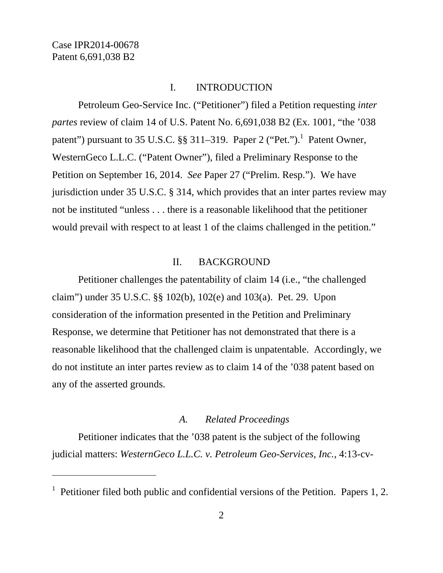-

#### I. INTRODUCTION

Petroleum Geo-Service Inc. ("Petitioner") filed a Petition requesting *inter partes* review of claim 14 of U.S. Patent No. 6,691,038 B2 (Ex. 1001, "the '038 patent") pursuant to 35 U.S.C.  $\S$ § 311–319. Paper 2 ("Pet.").<sup>1</sup> Patent Owner, WesternGeco L.L.C. ("Patent Owner"), filed a Preliminary Response to the Petition on September 16, 2014. *See* Paper 27 ("Prelim. Resp."). We have jurisdiction under 35 U.S.C. § 314, which provides that an inter partes review may not be instituted "unless . . . there is a reasonable likelihood that the petitioner would prevail with respect to at least 1 of the claims challenged in the petition."

#### II. BACKGROUND

 Petitioner challenges the patentability of claim 14 (i.e., "the challenged claim") under 35 U.S.C. §§ 102(b), 102(e) and 103(a). Pet. 29. Upon consideration of the information presented in the Petition and Preliminary Response, we determine that Petitioner has not demonstrated that there is a reasonable likelihood that the challenged claim is unpatentable. Accordingly, we do not institute an inter partes review as to claim 14 of the '038 patent based on any of the asserted grounds.

### *A. Related Proceedings*

 Petitioner indicates that the '038 patent is the subject of the following judicial matters: *WesternGeco L.L.C. v. Petroleum Geo-Services, Inc.*, 4:13-cv-

<sup>&</sup>lt;sup>1</sup> Petitioner filed both public and confidential versions of the Petition. Papers 1, 2.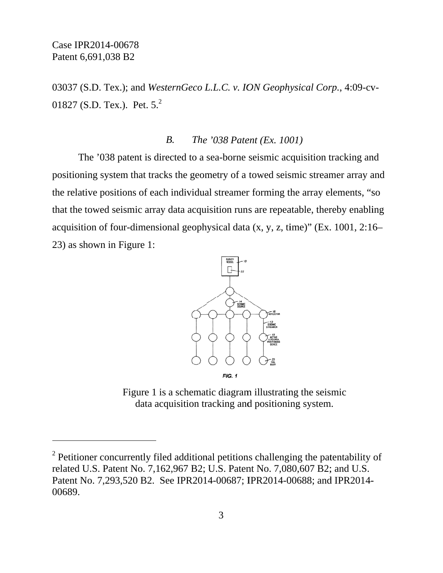$\overline{a}$ 

 $\overline{a}$ 

l

03037 (S.D. Tex.); and *WesternGeco L.L.C. v. ION Geophysical Corp.*, 4:09-cv-01827 (S.D. Tex.). Pet.  $5.<sup>2</sup>$ 

#### *B. The '038 Patent (Ex. 1001)*

The '038 patent is directed to a sea-borne seismic acquisition tracking and positioning system that tracks the geometry of a towed seismic streamer array and the relative positions of each individual streamer forming the array elements, "so that the towed seismic array data acquisition runs are repeatable, thereby enabling acquisition of four-dimensional geophysical data (x, y, z, time)" (Ex. 1001, 2:16– 23) as s hown in F igure 1:



Figure 1 is a schematic diagram illustrating the seismic data acquisition tracking and positioning system.

<sup>&</sup>lt;sup>2</sup> Petitioner concurrently filed additional petitions challenging the patentability of related U.S. Patent No. 7,162,967 B2; U.S. Patent No. 7,080,607 B2; and U.S. Patent No. 7,293,520 B2. See IPR2014-00687; IPR2014-00688; and IPR2014-00689.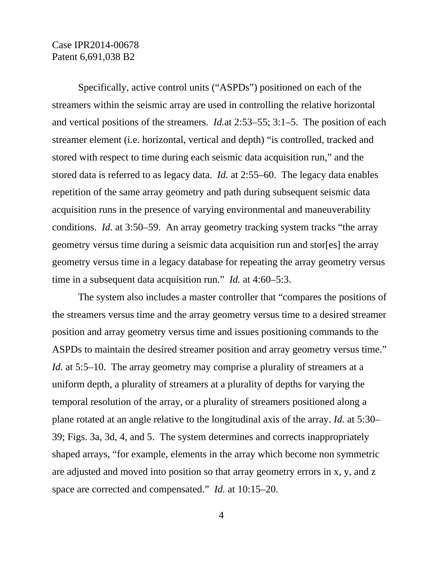Specifically, active control units ("ASPDs") positioned on each of the streamers within the seismic array are used in controlling the relative horizontal and vertical positions of the streamers. *Id.*at 2:53–55; 3:1–5. The position of each streamer element (i.e. horizontal, vertical and depth) "is controlled, tracked and stored with respect to time during each seismic data acquisition run," and the stored data is referred to as legacy data. *Id.* at 2:55–60. The legacy data enables repetition of the same array geometry and path during subsequent seismic data acquisition runs in the presence of varying environmental and maneuverability conditions. *Id.* at 3:50–59. An array geometry tracking system tracks "the array geometry versus time during a seismic data acquisition run and stor[es] the array geometry versus time in a legacy database for repeating the array geometry versus time in a subsequent data acquisition run." *Id.* at 4:60–5:3.

The system also includes a master controller that "compares the positions of the streamers versus time and the array geometry versus time to a desired streamer position and array geometry versus time and issues positioning commands to the ASPDs to maintain the desired streamer position and array geometry versus time." *Id.* at 5:5–10. The array geometry may comprise a plurality of streamers at a uniform depth, a plurality of streamers at a plurality of depths for varying the temporal resolution of the array, or a plurality of streamers positioned along a plane rotated at an angle relative to the longitudinal axis of the array. *Id.* at 5:30– 39; Figs. 3a, 3d, 4, and 5. The system determines and corrects inappropriately shaped arrays, "for example, elements in the array which become non symmetric are adjusted and moved into position so that array geometry errors in x, y, and z space are corrected and compensated." *Id.* at 10:15–20.

4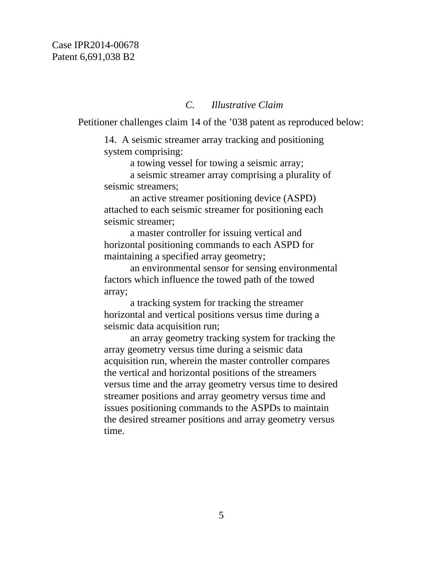### *C. Illustrative Claim*

Petitioner challenges claim 14 of the '038 patent as reproduced below:

14. A seismic streamer array tracking and positioning system comprising:

a towing vessel for towing a seismic array;

 a seismic streamer array comprising a plurality of seismic streamers;

 an active streamer positioning device (ASPD) attached to each seismic streamer for positioning each seismic streamer;

 a master controller for issuing vertical and horizontal positioning commands to each ASPD for maintaining a specified array geometry;

 an environmental sensor for sensing environmental factors which influence the towed path of the towed array;

 a tracking system for tracking the streamer horizontal and vertical positions versus time during a seismic data acquisition run;

 an array geometry tracking system for tracking the array geometry versus time during a seismic data acquisition run, wherein the master controller compares the vertical and horizontal positions of the streamers versus time and the array geometry versus time to desired streamer positions and array geometry versus time and issues positioning commands to the ASPDs to maintain the desired streamer positions and array geometry versus time.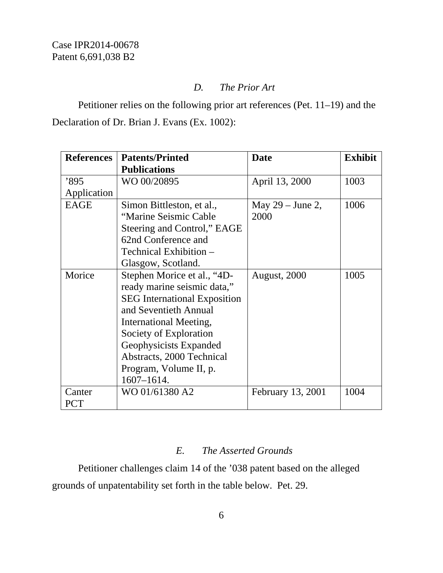## *D. The Prior Art*

Petitioner relies on the following prior art references (Pet. 11–19) and the Declaration of Dr. Brian J. Evans (Ex. 1002):

| <b>References</b> | <b>Patents/Printed</b>              | <b>Date</b>        | <b>Exhibit</b> |
|-------------------|-------------------------------------|--------------------|----------------|
|                   | <b>Publications</b>                 |                    |                |
| '895              | WO 00/20895                         | April 13, 2000     | 1003           |
| Application       |                                     |                    |                |
| <b>EAGE</b>       | Simon Bittleston, et al.,           | May $29$ – June 2, | 1006           |
|                   | "Marine Seismic Cable"              | 2000               |                |
|                   | Steering and Control," EAGE         |                    |                |
|                   | 62nd Conference and                 |                    |                |
|                   | Technical Exhibition –              |                    |                |
|                   | Glasgow, Scotland.                  |                    |                |
| Morice            | Stephen Morice et al., "4D-         | August, 2000       | 1005           |
|                   | ready marine seismic data,"         |                    |                |
|                   | <b>SEG</b> International Exposition |                    |                |
|                   | and Seventieth Annual               |                    |                |
|                   | International Meeting,              |                    |                |
|                   | Society of Exploration              |                    |                |
|                   | Geophysicists Expanded              |                    |                |
|                   | Abstracts, 2000 Technical           |                    |                |
|                   | Program, Volume II, p.              |                    |                |
|                   | 1607-1614.                          |                    |                |
| Canter            | WO 01/61380 A2                      | February 13, 2001  | 1004           |
| <b>PCT</b>        |                                     |                    |                |

# *E. The Asserted Grounds*

Petitioner challenges claim 14 of the '038 patent based on the alleged grounds of unpatentability set forth in the table below. Pet. 29.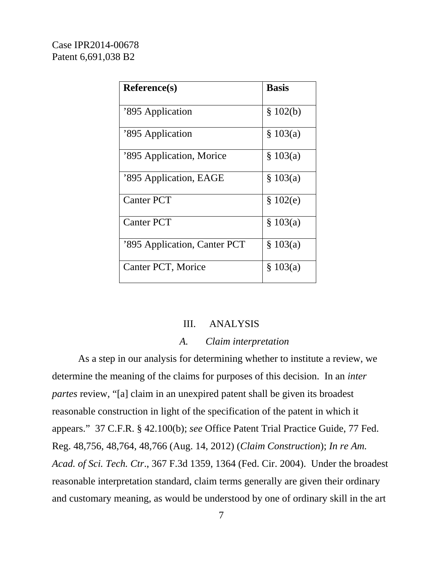| Reference(s)                 | <b>Basis</b> |
|------------------------------|--------------|
| '895 Application             | \$102(b)     |
| '895 Application             | \$103(a)     |
| '895 Application, Morice     | \$103(a)     |
| '895 Application, EAGE       | \$103(a)     |
| <b>Canter PCT</b>            | \$102(e)     |
| <b>Canter PCT</b>            | \$103(a)     |
| '895 Application, Canter PCT | \$103(a)     |
| Canter PCT, Morice           | \$103(a)     |

### III. ANALYSIS

#### *A. Claim interpretation*

As a step in our analysis for determining whether to institute a review, we determine the meaning of the claims for purposes of this decision. In an *inter partes* review, "[a] claim in an unexpired patent shall be given its broadest reasonable construction in light of the specification of the patent in which it appears." 37 C.F.R. § 42.100(b); *see* Office Patent Trial Practice Guide, 77 Fed. Reg. 48,756, 48,764, 48,766 (Aug. 14, 2012) (*Claim Construction*); *In re Am. Acad. of Sci. Tech. Ctr*., 367 F.3d 1359, 1364 (Fed. Cir. 2004). Under the broadest reasonable interpretation standard, claim terms generally are given their ordinary and customary meaning, as would be understood by one of ordinary skill in the art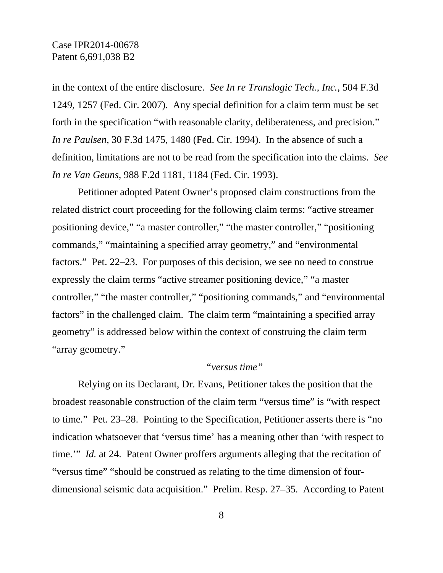in the context of the entire disclosure. *See In re Translogic Tech., Inc.*, 504 F.3d 1249, 1257 (Fed. Cir. 2007). Any special definition for a claim term must be set forth in the specification "with reasonable clarity, deliberateness, and precision." *In re Paulsen*, 30 F.3d 1475, 1480 (Fed. Cir. 1994). In the absence of such a definition, limitations are not to be read from the specification into the claims. *See In re Van Geuns*, 988 F.2d 1181, 1184 (Fed. Cir. 1993).

Petitioner adopted Patent Owner's proposed claim constructions from the related district court proceeding for the following claim terms: "active streamer positioning device," "a master controller," "the master controller," "positioning commands," "maintaining a specified array geometry," and "environmental factors." Pet. 22–23. For purposes of this decision, we see no need to construe expressly the claim terms "active streamer positioning device," "a master controller," "the master controller," "positioning commands," and "environmental factors" in the challenged claim. The claim term "maintaining a specified array geometry" is addressed below within the context of construing the claim term "array geometry."

### *"versus time"*

Relying on its Declarant, Dr. Evans, Petitioner takes the position that the broadest reasonable construction of the claim term "versus time" is "with respect to time." Pet. 23–28. Pointing to the Specification, Petitioner asserts there is "no indication whatsoever that 'versus time' has a meaning other than 'with respect to time.'" *Id.* at 24. Patent Owner proffers arguments alleging that the recitation of "versus time" "should be construed as relating to the time dimension of fourdimensional seismic data acquisition." Prelim. Resp. 27–35. According to Patent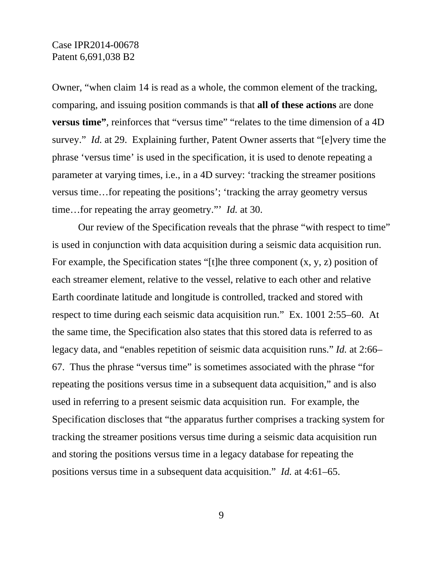Owner, "when claim 14 is read as a whole, the common element of the tracking, comparing, and issuing position commands is that **all of these actions** are done **versus time"**, reinforces that "versus time" "relates to the time dimension of a 4D survey." *Id.* at 29. Explaining further, Patent Owner asserts that "[e]very time the phrase 'versus time' is used in the specification, it is used to denote repeating a parameter at varying times, i.e., in a 4D survey: 'tracking the streamer positions versus time…for repeating the positions'; 'tracking the array geometry versus time…for repeating the array geometry."' *Id.* at 30.

Our review of the Specification reveals that the phrase "with respect to time" is used in conjunction with data acquisition during a seismic data acquisition run. For example, the Specification states "[t]he three component  $(x, y, z)$  position of each streamer element, relative to the vessel, relative to each other and relative Earth coordinate latitude and longitude is controlled, tracked and stored with respect to time during each seismic data acquisition run." Ex. 1001 2:55–60. At the same time, the Specification also states that this stored data is referred to as legacy data, and "enables repetition of seismic data acquisition runs." *Id.* at 2:66– 67. Thus the phrase "versus time" is sometimes associated with the phrase "for repeating the positions versus time in a subsequent data acquisition," and is also used in referring to a present seismic data acquisition run. For example, the Specification discloses that "the apparatus further comprises a tracking system for tracking the streamer positions versus time during a seismic data acquisition run and storing the positions versus time in a legacy database for repeating the positions versus time in a subsequent data acquisition." *Id.* at 4:61–65.

9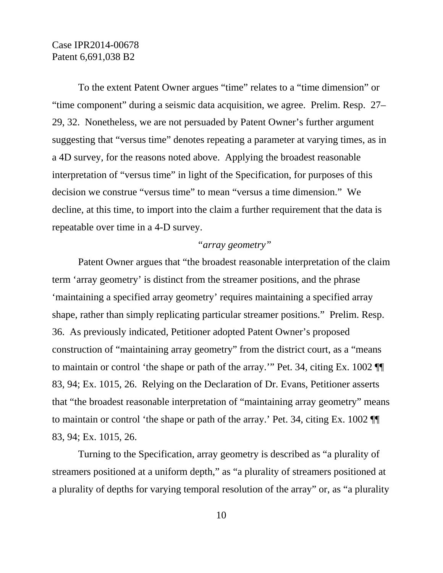To the extent Patent Owner argues "time" relates to a "time dimension" or "time component" during a seismic data acquisition, we agree. Prelim. Resp. 27– 29, 32. Nonetheless, we are not persuaded by Patent Owner's further argument suggesting that "versus time" denotes repeating a parameter at varying times, as in a 4D survey, for the reasons noted above. Applying the broadest reasonable interpretation of "versus time" in light of the Specification, for purposes of this decision we construe "versus time" to mean "versus a time dimension." We decline, at this time, to import into the claim a further requirement that the data is repeatable over time in a 4-D survey.

### *"array geometry"*

Patent Owner argues that "the broadest reasonable interpretation of the claim term 'array geometry' is distinct from the streamer positions, and the phrase 'maintaining a specified array geometry' requires maintaining a specified array shape, rather than simply replicating particular streamer positions." Prelim. Resp. 36. As previously indicated, Petitioner adopted Patent Owner's proposed construction of "maintaining array geometry" from the district court, as a "means to maintain or control 'the shape or path of the array.'" Pet. 34, citing Ex. 1002 ¶¶ 83, 94; Ex. 1015, 26. Relying on the Declaration of Dr. Evans, Petitioner asserts that "the broadest reasonable interpretation of "maintaining array geometry" means to maintain or control 'the shape or path of the array.' Pet. 34, citing Ex. 1002 ¶¶ 83, 94; Ex. 1015, 26.

Turning to the Specification, array geometry is described as "a plurality of streamers positioned at a uniform depth," as "a plurality of streamers positioned at a plurality of depths for varying temporal resolution of the array" or, as "a plurality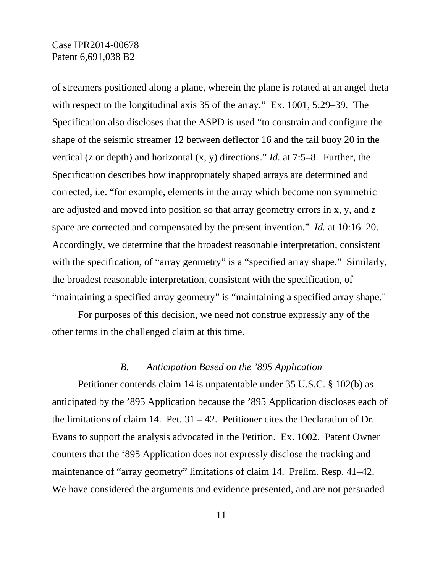of streamers positioned along a plane, wherein the plane is rotated at an angel theta with respect to the longitudinal axis 35 of the array." Ex. 1001, 5:29–39. The Specification also discloses that the ASPD is used "to constrain and configure the shape of the seismic streamer 12 between deflector 16 and the tail buoy 20 in the vertical (z or depth) and horizontal (x, y) directions." *Id.* at 7:5–8. Further, the Specification describes how inappropriately shaped arrays are determined and corrected, i.e. "for example, elements in the array which become non symmetric are adjusted and moved into position so that array geometry errors in x, y, and z space are corrected and compensated by the present invention." *Id.* at 10:16–20. Accordingly, we determine that the broadest reasonable interpretation, consistent with the specification, of "array geometry" is a "specified array shape." Similarly, the broadest reasonable interpretation, consistent with the specification, of "maintaining a specified array geometry" is "maintaining a specified array shape."

For purposes of this decision, we need not construe expressly any of the other terms in the challenged claim at this time.

#### *B. Anticipation Based on the '895 Application*

 Petitioner contends claim 14 is unpatentable under 35 U.S.C. § 102(b) as anticipated by the '895 Application because the '895 Application discloses each of the limitations of claim 14. Pet.  $31 - 42$ . Petitioner cites the Declaration of Dr. Evans to support the analysis advocated in the Petition. Ex. 1002. Patent Owner counters that the '895 Application does not expressly disclose the tracking and maintenance of "array geometry" limitations of claim 14. Prelim. Resp. 41–42. We have considered the arguments and evidence presented, and are not persuaded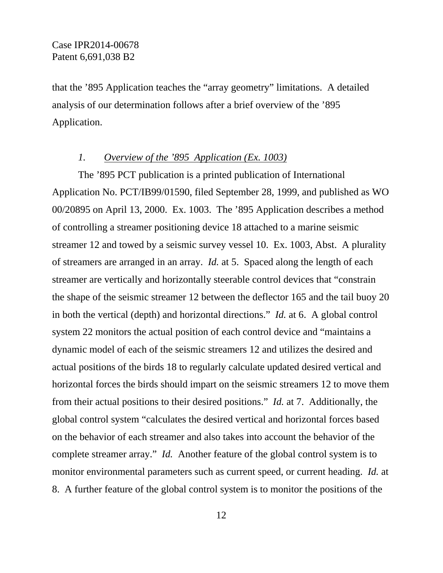that the '895 Application teaches the "array geometry" limitations. A detailed analysis of our determination follows after a brief overview of the '895 Application.

#### *1. Overview of the '895 Application (Ex. 1003)*

The '895 PCT publication is a printed publication of International Application No. PCT/IB99/01590, filed September 28, 1999, and published as WO 00/20895 on April 13, 2000. Ex. 1003. The '895 Application describes a method of controlling a streamer positioning device 18 attached to a marine seismic streamer 12 and towed by a seismic survey vessel 10. Ex. 1003, Abst. A plurality of streamers are arranged in an array. *Id.* at 5. Spaced along the length of each streamer are vertically and horizontally steerable control devices that "constrain the shape of the seismic streamer 12 between the deflector 165 and the tail buoy 20 in both the vertical (depth) and horizontal directions." *Id.* at 6. A global control system 22 monitors the actual position of each control device and "maintains a dynamic model of each of the seismic streamers 12 and utilizes the desired and actual positions of the birds 18 to regularly calculate updated desired vertical and horizontal forces the birds should impart on the seismic streamers 12 to move them from their actual positions to their desired positions." *Id.* at 7. Additionally, the global control system "calculates the desired vertical and horizontal forces based on the behavior of each streamer and also takes into account the behavior of the complete streamer array." *Id.* Another feature of the global control system is to monitor environmental parameters such as current speed, or current heading. *Id.* at 8. A further feature of the global control system is to monitor the positions of the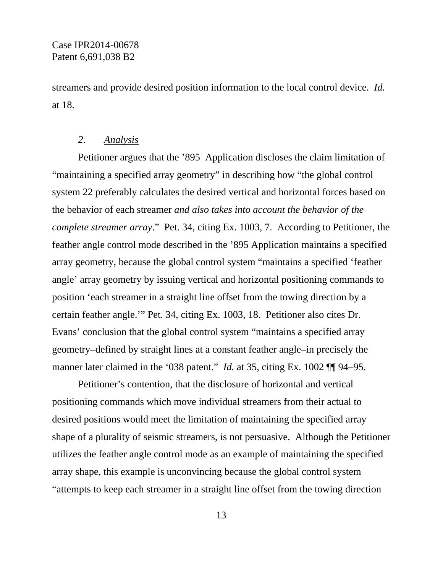streamers and provide desired position information to the local control device. *Id.* at 18.

#### *2. Analysis*

Petitioner argues that the '895 Application discloses the claim limitation of "maintaining a specified array geometry" in describing how "the global control system 22 preferably calculates the desired vertical and horizontal forces based on the behavior of each streamer *and also takes into account the behavior of the complete streamer array*." Pet. 34, citing Ex. 1003, 7. According to Petitioner, the feather angle control mode described in the '895 Application maintains a specified array geometry, because the global control system "maintains a specified 'feather angle' array geometry by issuing vertical and horizontal positioning commands to position 'each streamer in a straight line offset from the towing direction by a certain feather angle.'" Pet. 34, citing Ex. 1003, 18. Petitioner also cites Dr. Evans' conclusion that the global control system "maintains a specified array geometry–defined by straight lines at a constant feather angle–in precisely the manner later claimed in the '038 patent." *Id.* at 35, citing Ex. 1002  $\P$  94–95.

Petitioner's contention, that the disclosure of horizontal and vertical positioning commands which move individual streamers from their actual to desired positions would meet the limitation of maintaining the specified array shape of a plurality of seismic streamers, is not persuasive. Although the Petitioner utilizes the feather angle control mode as an example of maintaining the specified array shape, this example is unconvincing because the global control system "attempts to keep each streamer in a straight line offset from the towing direction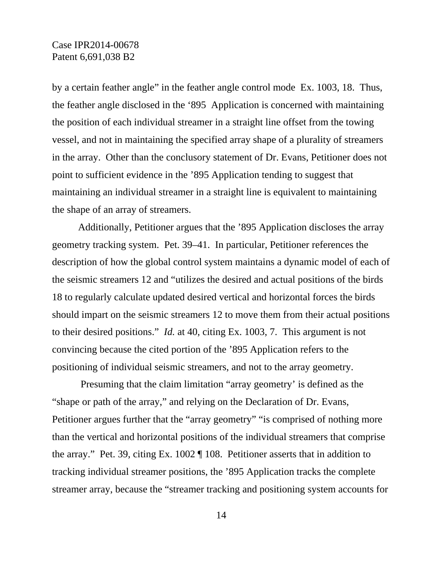by a certain feather angle" in the feather angle control mode Ex. 1003, 18. Thus, the feather angle disclosed in the '895 Application is concerned with maintaining the position of each individual streamer in a straight line offset from the towing vessel, and not in maintaining the specified array shape of a plurality of streamers in the array. Other than the conclusory statement of Dr. Evans, Petitioner does not point to sufficient evidence in the '895 Application tending to suggest that maintaining an individual streamer in a straight line is equivalent to maintaining the shape of an array of streamers.

Additionally, Petitioner argues that the '895 Application discloses the array geometry tracking system. Pet. 39–41. In particular, Petitioner references the description of how the global control system maintains a dynamic model of each of the seismic streamers 12 and "utilizes the desired and actual positions of the birds 18 to regularly calculate updated desired vertical and horizontal forces the birds should impart on the seismic streamers 12 to move them from their actual positions to their desired positions." *Id.* at 40, citing Ex. 1003, 7. This argument is not convincing because the cited portion of the '895 Application refers to the positioning of individual seismic streamers, and not to the array geometry.

 Presuming that the claim limitation "array geometry' is defined as the "shape or path of the array," and relying on the Declaration of Dr. Evans, Petitioner argues further that the "array geometry" "is comprised of nothing more than the vertical and horizontal positions of the individual streamers that comprise the array." Pet. 39, citing Ex. 1002 ¶ 108. Petitioner asserts that in addition to tracking individual streamer positions, the '895 Application tracks the complete streamer array, because the "streamer tracking and positioning system accounts for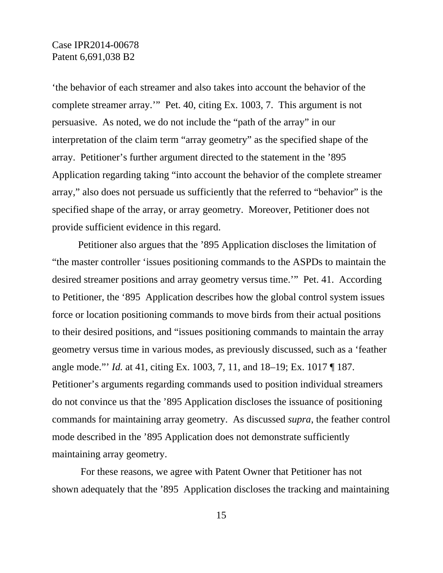'the behavior of each streamer and also takes into account the behavior of the complete streamer array.'" Pet. 40, citing Ex. 1003, 7. This argument is not persuasive. As noted, we do not include the "path of the array" in our interpretation of the claim term "array geometry" as the specified shape of the array. Petitioner's further argument directed to the statement in the '895 Application regarding taking "into account the behavior of the complete streamer array," also does not persuade us sufficiently that the referred to "behavior" is the specified shape of the array, or array geometry. Moreover, Petitioner does not provide sufficient evidence in this regard.

Petitioner also argues that the '895 Application discloses the limitation of "the master controller 'issues positioning commands to the ASPDs to maintain the desired streamer positions and array geometry versus time.'" Pet. 41. According to Petitioner, the '895 Application describes how the global control system issues force or location positioning commands to move birds from their actual positions to their desired positions, and "issues positioning commands to maintain the array geometry versus time in various modes, as previously discussed, such as a 'feather angle mode."' *Id.* at 41, citing Ex. 1003, 7, 11, and 18–19; Ex. 1017 ¶ 187. Petitioner's arguments regarding commands used to position individual streamers do not convince us that the '895 Application discloses the issuance of positioning commands for maintaining array geometry. As discussed *supra*, the feather control mode described in the '895 Application does not demonstrate sufficiently maintaining array geometry.

 For these reasons, we agree with Patent Owner that Petitioner has not shown adequately that the '895 Application discloses the tracking and maintaining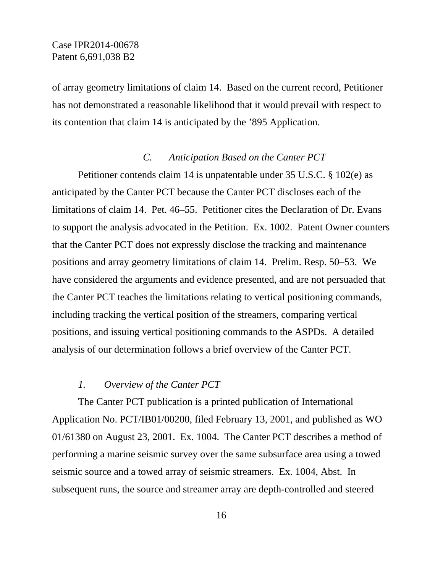of array geometry limitations of claim 14. Based on the current record, Petitioner has not demonstrated a reasonable likelihood that it would prevail with respect to its contention that claim 14 is anticipated by the '895 Application.

#### *C. Anticipation Based on the Canter PCT*

Petitioner contends claim 14 is unpatentable under 35 U.S.C. § 102(e) as anticipated by the Canter PCT because the Canter PCT discloses each of the limitations of claim 14. Pet. 46–55. Petitioner cites the Declaration of Dr. Evans to support the analysis advocated in the Petition. Ex. 1002. Patent Owner counters that the Canter PCT does not expressly disclose the tracking and maintenance positions and array geometry limitations of claim 14. Prelim. Resp. 50–53. We have considered the arguments and evidence presented, and are not persuaded that the Canter PCT teaches the limitations relating to vertical positioning commands, including tracking the vertical position of the streamers, comparing vertical positions, and issuing vertical positioning commands to the ASPDs. A detailed analysis of our determination follows a brief overview of the Canter PCT.

#### *1. Overview of the Canter PCT*

The Canter PCT publication is a printed publication of International Application No. PCT/IB01/00200, filed February 13, 2001, and published as WO 01/61380 on August 23, 2001. Ex. 1004. The Canter PCT describes a method of performing a marine seismic survey over the same subsurface area using a towed seismic source and a towed array of seismic streamers. Ex. 1004, Abst. In subsequent runs, the source and streamer array are depth-controlled and steered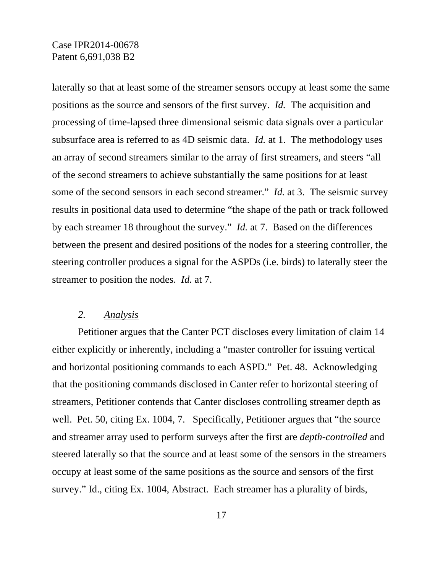laterally so that at least some of the streamer sensors occupy at least some the same positions as the source and sensors of the first survey. *Id.* The acquisition and processing of time-lapsed three dimensional seismic data signals over a particular subsurface area is referred to as 4D seismic data. *Id.* at 1. The methodology uses an array of second streamers similar to the array of first streamers, and steers "all of the second streamers to achieve substantially the same positions for at least some of the second sensors in each second streamer." *Id.* at 3. The seismic survey results in positional data used to determine "the shape of the path or track followed by each streamer 18 throughout the survey." *Id.* at 7. Based on the differences between the present and desired positions of the nodes for a steering controller, the steering controller produces a signal for the ASPDs (i.e. birds) to laterally steer the streamer to position the nodes. *Id.* at 7.

### *2. Analysis*

Petitioner argues that the Canter PCT discloses every limitation of claim 14 either explicitly or inherently, including a "master controller for issuing vertical and horizontal positioning commands to each ASPD." Pet. 48. Acknowledging that the positioning commands disclosed in Canter refer to horizontal steering of streamers, Petitioner contends that Canter discloses controlling streamer depth as well. Pet. 50, citing Ex. 1004, 7. Specifically, Petitioner argues that "the source" and streamer array used to perform surveys after the first are *depth-controlled* and steered laterally so that the source and at least some of the sensors in the streamers occupy at least some of the same positions as the source and sensors of the first survey." Id., citing Ex. 1004, Abstract. Each streamer has a plurality of birds,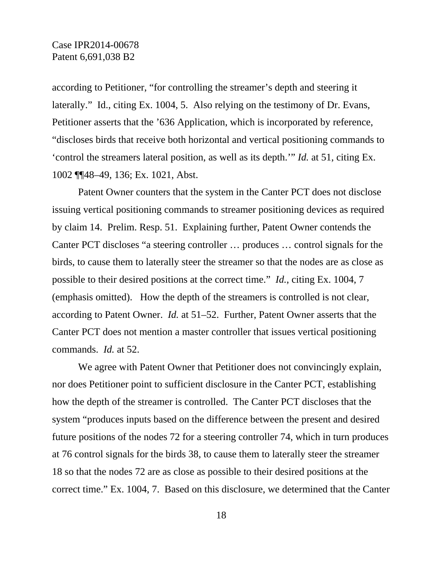according to Petitioner, "for controlling the streamer's depth and steering it laterally." Id., citing Ex. 1004, 5. Also relying on the testimony of Dr. Evans, Petitioner asserts that the '636 Application, which is incorporated by reference, "discloses birds that receive both horizontal and vertical positioning commands to 'control the streamers lateral position, as well as its depth.'" *Id.* at 51, citing Ex. 1002 ¶¶48–49, 136; Ex. 1021, Abst.

 Patent Owner counters that the system in the Canter PCT does not disclose issuing vertical positioning commands to streamer positioning devices as required by claim 14. Prelim. Resp. 51. Explaining further, Patent Owner contends the Canter PCT discloses "a steering controller … produces … control signals for the birds, to cause them to laterally steer the streamer so that the nodes are as close as possible to their desired positions at the correct time." *Id.*, citing Ex. 1004, 7 (emphasis omitted). How the depth of the streamers is controlled is not clear, according to Patent Owner. *Id.* at 51–52. Further, Patent Owner asserts that the Canter PCT does not mention a master controller that issues vertical positioning commands. *Id.* at 52.

We agree with Patent Owner that Petitioner does not convincingly explain, nor does Petitioner point to sufficient disclosure in the Canter PCT, establishing how the depth of the streamer is controlled. The Canter PCT discloses that the system "produces inputs based on the difference between the present and desired future positions of the nodes 72 for a steering controller 74, which in turn produces at 76 control signals for the birds 38, to cause them to laterally steer the streamer 18 so that the nodes 72 are as close as possible to their desired positions at the correct time." Ex. 1004, 7. Based on this disclosure, we determined that the Canter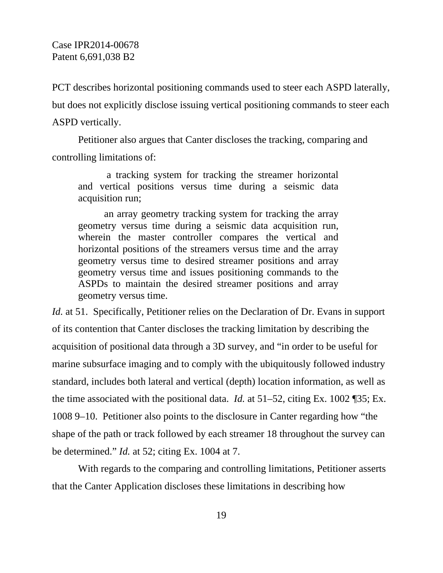PCT describes horizontal positioning commands used to steer each ASPD laterally, but does not explicitly disclose issuing vertical positioning commands to steer each ASPD vertically.

Petitioner also argues that Canter discloses the tracking, comparing and controlling limitations of:

 a tracking system for tracking the streamer horizontal and vertical positions versus time during a seismic data acquisition run;

an array geometry tracking system for tracking the array geometry versus time during a seismic data acquisition run, wherein the master controller compares the vertical and horizontal positions of the streamers versus time and the array geometry versus time to desired streamer positions and array geometry versus time and issues positioning commands to the ASPDs to maintain the desired streamer positions and array geometry versus time.

*Id.* at 51. Specifically, Petitioner relies on the Declaration of Dr. Evans in support of its contention that Canter discloses the tracking limitation by describing the acquisition of positional data through a 3D survey, and "in order to be useful for marine subsurface imaging and to comply with the ubiquitously followed industry standard, includes both lateral and vertical (depth) location information, as well as the time associated with the positional data. *Id.* at 51–52, citing Ex. 1002 ¶35; Ex. 1008 9–10. Petitioner also points to the disclosure in Canter regarding how "the shape of the path or track followed by each streamer 18 throughout the survey can be determined." *Id.* at 52; citing Ex. 1004 at 7.

 With regards to the comparing and controlling limitations, Petitioner asserts that the Canter Application discloses these limitations in describing how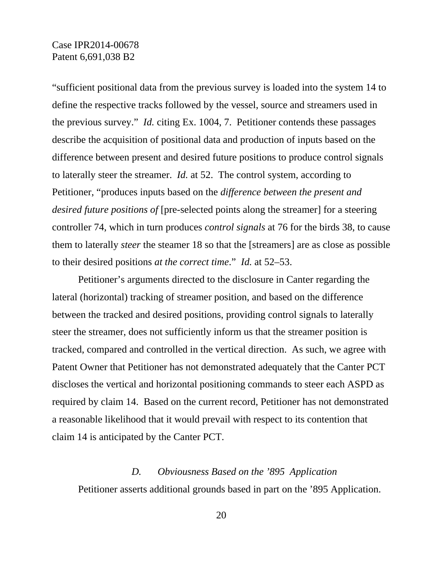"sufficient positional data from the previous survey is loaded into the system 14 to define the respective tracks followed by the vessel, source and streamers used in the previous survey." *Id.* citing Ex. 1004, 7. Petitioner contends these passages describe the acquisition of positional data and production of inputs based on the difference between present and desired future positions to produce control signals to laterally steer the streamer. *Id.* at 52. The control system, according to Petitioner, "produces inputs based on the *difference between the present and desired future positions of* [pre-selected points along the streamer] for a steering controller 74, which in turn produces *control signals* at 76 for the birds 38, to cause them to laterally *steer* the steamer 18 so that the [streamers] are as close as possible to their desired positions *at the correct time*." *Id.* at 52–53.

 Petitioner's arguments directed to the disclosure in Canter regarding the lateral (horizontal) tracking of streamer position, and based on the difference between the tracked and desired positions, providing control signals to laterally steer the streamer, does not sufficiently inform us that the streamer position is tracked, compared and controlled in the vertical direction. As such, we agree with Patent Owner that Petitioner has not demonstrated adequately that the Canter PCT discloses the vertical and horizontal positioning commands to steer each ASPD as required by claim 14. Based on the current record, Petitioner has not demonstrated a reasonable likelihood that it would prevail with respect to its contention that claim 14 is anticipated by the Canter PCT.

# *D. Obviousness Based on the '895 Application*

Petitioner asserts additional grounds based in part on the '895 Application.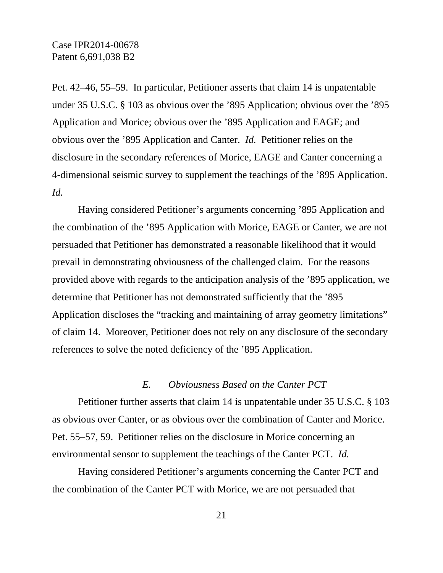Pet. 42–46, 55–59. In particular, Petitioner asserts that claim 14 is unpatentable under 35 U.S.C. § 103 as obvious over the '895 Application; obvious over the '895 Application and Morice; obvious over the '895 Application and EAGE; and obvious over the '895 Application and Canter. *Id.* Petitioner relies on the disclosure in the secondary references of Morice, EAGE and Canter concerning a 4-dimensional seismic survey to supplement the teachings of the '895 Application. *Id.*

 Having considered Petitioner's arguments concerning '895 Application and the combination of the '895 Application with Morice, EAGE or Canter, we are not persuaded that Petitioner has demonstrated a reasonable likelihood that it would prevail in demonstrating obviousness of the challenged claim. For the reasons provided above with regards to the anticipation analysis of the '895 application, we determine that Petitioner has not demonstrated sufficiently that the '895 Application discloses the "tracking and maintaining of array geometry limitations" of claim 14. Moreover, Petitioner does not rely on any disclosure of the secondary references to solve the noted deficiency of the '895 Application.

### *E. Obviousness Based on the Canter PCT*

 Petitioner further asserts that claim 14 is unpatentable under 35 U.S.C. § 103 as obvious over Canter, or as obvious over the combination of Canter and Morice. Pet. 55–57, 59. Petitioner relies on the disclosure in Morice concerning an environmental sensor to supplement the teachings of the Canter PCT. *Id.*

 Having considered Petitioner's arguments concerning the Canter PCT and the combination of the Canter PCT with Morice, we are not persuaded that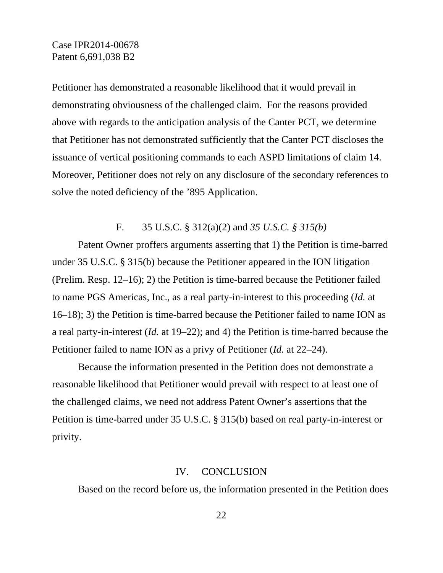Petitioner has demonstrated a reasonable likelihood that it would prevail in demonstrating obviousness of the challenged claim. For the reasons provided above with regards to the anticipation analysis of the Canter PCT, we determine that Petitioner has not demonstrated sufficiently that the Canter PCT discloses the issuance of vertical positioning commands to each ASPD limitations of claim 14. Moreover, Petitioner does not rely on any disclosure of the secondary references to solve the noted deficiency of the '895 Application.

### F. 35 U.S.C. § 312(a)(2) and *35 U.S.C. § 315(b)*

 Patent Owner proffers arguments asserting that 1) the Petition is time-barred under 35 U.S.C. § 315(b) because the Petitioner appeared in the ION litigation (Prelim. Resp. 12–16); 2) the Petition is time-barred because the Petitioner failed to name PGS Americas, Inc., as a real party-in-interest to this proceeding (*Id.* at 16–18); 3) the Petition is time-barred because the Petitioner failed to name ION as a real party-in-interest (*Id.* at 19–22); and 4) the Petition is time-barred because the Petitioner failed to name ION as a privy of Petitioner (*Id.* at 22–24).

 Because the information presented in the Petition does not demonstrate a reasonable likelihood that Petitioner would prevail with respect to at least one of the challenged claims, we need not address Patent Owner's assertions that the Petition is time-barred under 35 U.S.C. § 315(b) based on real party-in-interest or privity.

#### IV. CONCLUSION

Based on the record before us, the information presented in the Petition does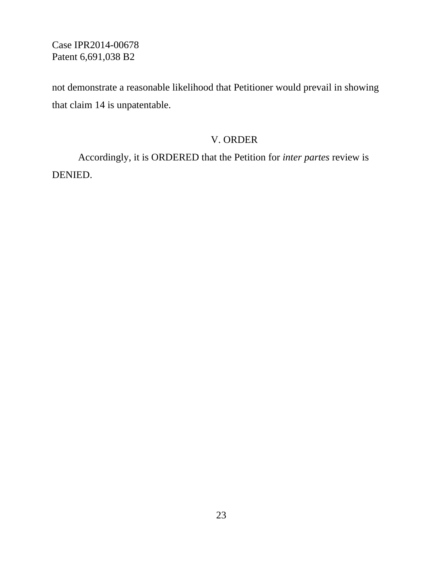not demonstrate a reasonable likelihood that Petitioner would prevail in showing that claim 14 is unpatentable.

## V. ORDER

 Accordingly, it is ORDERED that the Petition for *inter partes* review is DENIED.